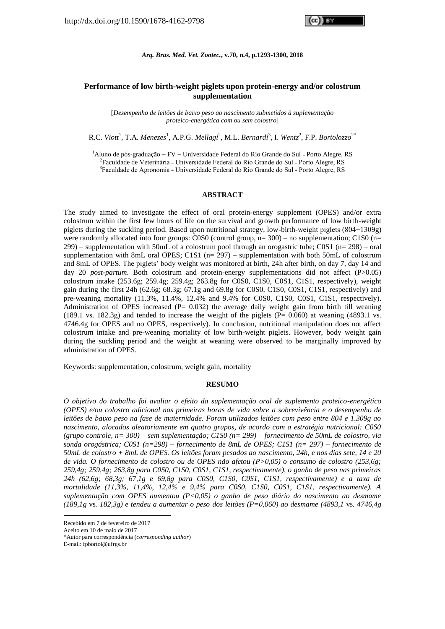ce) ) em

*Arq. Bras. Med. Vet. Zootec.***, v.70, n.4, p.1293-1300, 2018**

# **Performance of low birth-weight piglets upon protein-energy and/or colostrum supplementation**

[*Desempenho de leitões de baixo peso ao nascimento submetidos à suplementação proteico-energética com ou sem colostro*]

R.C. *Viott*<sup>1</sup>, T.A. *Menezes*<sup>1</sup>, A.P.G. *Mellagi*<sup>2</sup>, M.L. *Bernardi*<sup>3</sup>, I. *Wentz*<sup>2</sup>, F.P. *Bortolozzo*<sup>2\*</sup>

<sup>1</sup> Aluno de pós-graduação – FV – Universidade Federal do Rio Grande do Sul - Porto Alegre, RS  $^{2}$ Faculdade de Veterinária - Universidade Federal do Rio Grande do Sul - Porto Alegre, RS  ${}^{3}$ Faculdade de Agronomia - Universidade Federal do Rio Grande do Sul - Porto Alegre, RS

#### **ABSTRACT**

The study aimed to investigate the effect of oral protein-energy supplement (OPES) and/or extra colostrum within the first few hours of life on the survival and growth performance of low birth-weight piglets during the suckling period. Based upon nutritional strategy, low-birth-weight piglets (804−1309g) were randomly allocated into four groups: C0S0 (control group,  $n= 300$ ) – no supplementation; C1S0 (n=  $299$  – supplementation with 50mL of a colostrum pool through an orogastric tube; C0S1 (n= 298) – oral supplementation with 8mL oral OPES; C1S1 (n= 297) – supplementation with both 50mL of colostrum and 8mL of OPES. The piglets' body weight was monitored at birth, 24h after birth, on day 7, day 14 and day 20 *post-partum*. Both colostrum and protein-energy supplementations did not affect (P>0.05) colostrum intake (253.6g; 259.4g; 259.4g; 263.8g for C0S0, C1S0, C0S1, C1S1, respectively), weight gain during the first 24h (62.6g; 68.3g; 67.1g and 69.8g for C0S0, C1S0, C0S1, C1S1, respectively) and pre-weaning mortality (11.3%, 11.4%, 12.4% and 9.4% for C0S0, C1S0, C0S1, C1S1, respectively). Administration of OPES increased ( $P = 0.032$ ) the average daily weight gain from birth till weaning  $(189.1 \text{ vs. } 182.3 \text{ g})$  and tended to increase the weight of the piglets  $(P= 0.060)$  at weaning  $(4893.1 \text{ vs. } 182.3 \text{ g})$ 4746.4g for OPES and no OPES, respectively). In conclusion, nutritional manipulation does not affect colostrum intake and pre-weaning mortality of low birth-weight piglets. However, body weight gain during the suckling period and the weight at weaning were observed to be marginally improved by administration of OPES.

Keywords: supplementation, colostrum, weight gain, mortality

## **RESUMO**

*O objetivo do trabalho foi avaliar o efeito da suplementação oral de suplemento proteico-energético (OPES) e/ou colostro adicional nas primeiras horas de vida sobre a sobrevivência e o desempenho de leitões de baixo peso na fase de maternidade. Foram utilizados leitões com peso entre 804 e 1.309g ao nascimento, alocados aleatoriamente em quatro grupos, de acordo com a estratégia nutricional: C0S0 (grupo controle, n= 300) – sem suplementação; C1S0 (n= 299) – fornecimento de 50mL de colostro, via sonda orogástrica; C0S1 (n=298) – fornecimento de 8mL de OPES; C1S1 (n= 297) – fornecimento de 50mL de colostro + 8mL de OPES. Os leitões foram pesados ao nascimento, 24h, e nos dias sete, 14 e 20 de vida. O fornecimento de colostro ou de OPES não afetou (P>0,05) o consumo de colostro (253,6g; 259,4g; 259,4g; 263,8g para C0S0, C1S0, C0S1, C1S1, respectivamente), o ganho de peso nas primeiras 24h (62,6g; 68,3g; 67,1g e 69,8g para C0S0, C1S0, C0S1, C1S1, respectivamente) e a taxa de mortalidade (11,3%, 11,4%, 12,4% e 9,4% para C0S0, C1S0, C0S1, C1S1, respectivamente). A suplementação com OPES aumentou (P<0,05) o ganho de peso diário do nascimento ao desmame (189,1g* vs*. 182,3g) e tendeu a aumentar o peso dos leitões (P=0,060) ao desmame (4893,1* vs*. 4746,4g* 

<u>.</u>

Recebido em 7 de fevereiro de 2017

Aceito em 10 de maio de 2017

<sup>\*</sup>Autor para correspondência (*corresponding author*)

E-mail: fpbortol@ufrgs.br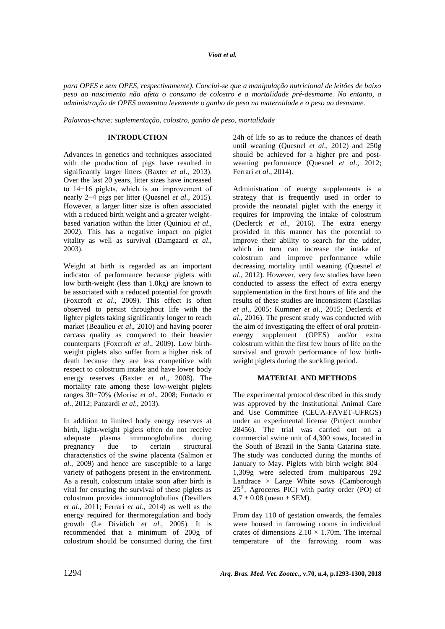#### *Viott et al.*

*para OPES e sem OPES, respectivamente). Conclui-se que a manipulação nutricional de leitões de baixo peso ao nascimento não afeta o consumo de colostro e a mortalidade pré-desmame. No entanto, a administração de OPES aumentou levemente o ganho de peso na maternidade e o peso ao desmame.*

*Palavras-chave: suplementação, colostro, ganho de peso, mortalidade*

# **INTRODUCTION**

Advances in genetics and techniques associated with the production of pigs have resulted in significantly larger litters (Baxter *et al*., 2013). Over the last 20 years, litter sizes have increased to 14−16 piglets, which is an improvement of nearly 2−4 pigs per litter (Quesnel *et al*., 2015). However, a larger litter size is often associated with a reduced birth weight and a greater weightbased variation within the litter (Quiniou *et al*., 2002). This has a negative impact on piglet vitality as well as survival (Damgaard *et al*., 2003).

Weight at birth is regarded as an important indicator of performance because piglets with low birth-weight (less than 1.0kg) are known to be associated with a reduced potential for growth (Foxcroft *et al*., 2009). This effect is often observed to persist throughout life with the lighter piglets taking significantly longer to reach market (Beaulieu *et al*., 2010) and having poorer carcass quality as compared to their heavier counterparts (Foxcroft *et al*., 2009). Low birthweight piglets also suffer from a higher risk of death because they are less competitive with respect to colostrum intake and have lower body energy reserves (Baxter *et al*., 2008). The mortality rate among these low-weight piglets ranges 30−70% (Morise *et al*., 2008; Furtado *et al*., 2012; Panzardi *et al*., 2013).

In addition to limited body energy reserves at birth, light-weight piglets often do not receive adequate plasma immunoglobulins during pregnancy due to certain structural characteristics of the swine placenta (Salmon *et al*., 2009) and hence are susceptible to a large variety of pathogens present in the environment. As a result, colostrum intake soon after birth is vital for ensuring the survival of these piglets as colostrum provides immunoglobulins (Devillers *et al*., 2011; Ferrari *et al*., 2014) as well as the energy required for thermoregulation and body growth (Le Dividich *et al*., 2005). It is recommended that a minimum of 200g of colostrum should be consumed during the first 24h of life so as to reduce the chances of death until weaning (Quesnel *et al*., 2012) and 250g should be achieved for a higher pre and postweaning performance (Quesnel *et al*., 2012; Ferrari *et al*., 2014).

Administration of energy supplements is a strategy that is frequently used in order to provide the neonatal piglet with the energy it requires for improving the intake of colostrum (Declerck *et al*., 2016). The extra energy provided in this manner has the potential to improve their ability to search for the udder, which in turn can increase the intake of colostrum and improve performance while decreasing mortality until weaning (Quesnel *et al*., 2012). However, very few studies have been conducted to assess the effect of extra energy supplementation in the first hours of life and the results of these studies are inconsistent (Casellas *et al*., 2005; Kummer *et al*., 2015; Declerck *et al*., 2016). The present study was conducted with the aim of investigating the effect of oral proteinenergy supplement (OPES) and/or extra colostrum within the first few hours of life on the survival and growth performance of low birthweight piglets during the suckling period.

## **MATERIAL AND METHODS**

The experimental protocol described in this study was approved by the Institutional Animal Care and Use Committee (CEUA-FAVET-UFRGS) under an experimental license (Project number 28456). The trial was carried out on a commercial swine unit of 4,300 sows, located in the South of Brazil in the Santa Catarina state. The study was conducted during the months of January to May. Piglets with birth weight 804– 1,309g were selected from multiparous 292 Landrace  $\times$  Large White sows (Camborough 25® , Agroceres PIC) with parity order (PO) of  $4.7 \pm 0.08$  (mean  $\pm$  SEM).

From day 110 of gestation onwards, the females were housed in farrowing rooms in individual crates of dimensions  $2.10 \times 1.70$ m. The internal temperature of the farrowing room was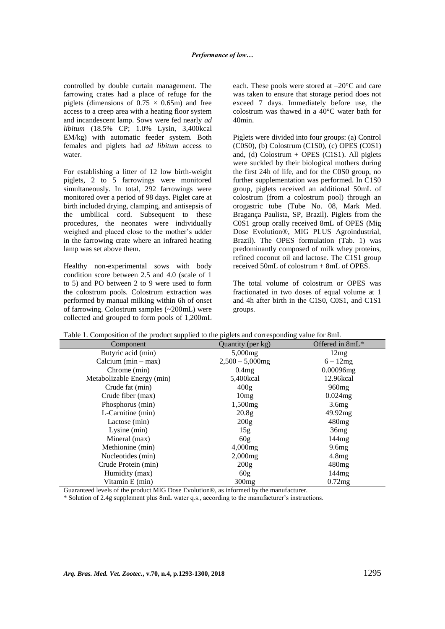controlled by double curtain management. The farrowing crates had a place of refuge for the piglets (dimensions of  $0.75 \times 0.65$ m) and free access to a creep area with a heating floor system and incandescent lamp. Sows were fed nearly *ad libitum* (18.5% CP; 1.0% Lysin, 3,400kcal EM/kg) with automatic feeder system. Both females and piglets had *ad libitum* access to water.

For establishing a litter of 12 low birth-weight piglets, 2 to 5 farrowings were monitored simultaneously. In total, 292 farrowings were monitored over a period of 98 days. Piglet care at birth included drying, clamping, and antisepsis of the umbilical cord. Subsequent to these procedures, the neonates were individually weighed and placed close to the mother's udder in the farrowing crate where an infrared heating lamp was set above them.

Healthy non-experimental sows with body condition score between 2.5 and 4.0 (scale of 1 to 5) and PO between 2 to 9 were used to form the colostrum pools. Colostrum extraction was performed by manual milking within 6h of onset of farrowing. Colostrum samples (~200mL) were collected and grouped to form pools of 1,200mL each. These pools were stored at –20°C and care was taken to ensure that storage period does not exceed 7 days. Immediately before use, the colostrum was thawed in a 40°C water bath for 40min.

Piglets were divided into four groups: (a) Control (C0S0), (b) Colostrum (C1S0), (c) OPES (C0S1) and, (d) Colostrum  $+$  OPES (C1S1). All piglets were suckled by their biological mothers during the first 24h of life, and for the C0S0 group, no further supplementation was performed. In C1S0 group, piglets received an additional 50mL of colostrum (from a colostrum pool) through an orogastric tube (Tube No. 08, Mark Med. Bragança Paulista, SP, Brazil). Piglets from the C0S1 group orally received 8mL of OPES (Mig Dose Evolution®, MIG PLUS Agroindustrial, Brazil). The OPES formulation (Tab. 1) was predominantly composed of milk whey proteins, refined coconut oil and lactose. The C1S1 group received 50mL of colostrum + 8mL of OPES.

The total volume of colostrum or OPES was fractionated in two doses of equal volume at 1 and 4h after birth in the C1S0, C0S1, and C1S1 groups.

| Lative 1. Composition of the product supplied to the piglets and corresponding value for ome<br>Component | Quantity (per kg)   | Offered in 8mL*   |  |  |
|-----------------------------------------------------------------------------------------------------------|---------------------|-------------------|--|--|
| Butyric acid (min)                                                                                        | $5,000$ mg          | 12mg              |  |  |
| Calcium $(min - max)$                                                                                     | $2,500 - 5,000$ mg  | $6 - 12mg$        |  |  |
| Chrome (min)                                                                                              | 0.4mg               | $0.00096$ mg      |  |  |
| Metabolizable Energy (min)                                                                                | 5,400kcal           | 12.96kcal         |  |  |
| Crude fat (min)                                                                                           | 400 <sub>g</sub>    | 960 <sub>mg</sub> |  |  |
| Crude fiber (max)                                                                                         | 10mg                | 0.024mg           |  |  |
| Phosphorus (min)                                                                                          | 1,500 <sub>mg</sub> | 3.6mg             |  |  |
| L-Carnitine (min)                                                                                         | 20.8 <sub>g</sub>   | 49.92mg           |  |  |
| Lactose (min)                                                                                             | 200g                | 480mg             |  |  |
| Lysine $(min)$                                                                                            | 15g                 | 36mg              |  |  |
| Mineral (max)                                                                                             | 60g                 | 144mg             |  |  |
| Methionine (min)                                                                                          | $4,000$ mg          | 9.6mg             |  |  |
| Nucleotides (min)                                                                                         | $2,000$ mg          | 4.8mg             |  |  |
| Crude Protein (min)                                                                                       | 200 <sub>g</sub>    | 480mg             |  |  |
| Humidity (max)                                                                                            | 60g                 | 144mg             |  |  |
| Vitamin E (min)                                                                                           | 300mg               | 0.72mg            |  |  |

Table 1. Composition of the product supplied to the piglets and corresponding value for 8mL

Guaranteed levels of the product MIG Dose Evolution®, as informed by the manufacturer.

\* Solution of 2.4g supplement plus 8mL water q.s., according to the manufacturer's instructions.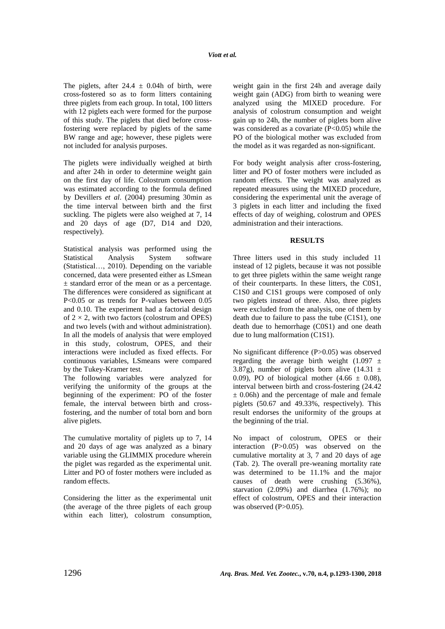The piglets, after  $24.4 \pm 0.04$  h of birth, were cross-fostered so as to form litters containing three piglets from each group. In total, 100 litters with 12 piglets each were formed for the purpose of this study. The piglets that died before crossfostering were replaced by piglets of the same BW range and age; however, these piglets were not included for analysis purposes.

The piglets were individually weighed at birth and after 24h in order to determine weight gain on the first day of life. Colostrum consumption was estimated according to the formula defined by Devillers *et al*. (2004) presuming 30min as the time interval between birth and the first suckling. The piglets were also weighed at 7, 14 and 20 days of age (D7, D14 and D20, respectively).

Statistical analysis was performed using the Statistical Analysis System software (Statistical…, 2010). Depending on the variable concerned, data were presented either as LSmean ± standard error of the mean or as a percentage. The differences were considered as significant at P<0.05 or as trends for P-values between 0.05 and 0.10. The experiment had a factorial design of  $2 \times 2$ , with two factors (colostrum and OPES) and two levels (with and without administration). In all the models of analysis that were employed in this study, colostrum, OPES, and their interactions were included as fixed effects. For continuous variables, LSmeans were compared by the Tukey-Kramer test.

The following variables were analyzed for verifying the uniformity of the groups at the beginning of the experiment: PO of the foster female, the interval between birth and crossfostering, and the number of total born and born alive piglets.

The cumulative mortality of piglets up to 7, 14 and 20 days of age was analyzed as a binary variable using the GLIMMIX procedure wherein the piglet was regarded as the experimental unit. Litter and PO of foster mothers were included as random effects.

Considering the litter as the experimental unit (the average of the three piglets of each group within each litter), colostrum consumption, weight gain in the first 24h and average daily weight gain (ADG) from birth to weaning were analyzed using the MIXED procedure. For analysis of colostrum consumption and weight gain up to 24h, the number of piglets born alive was considered as a covariate  $(P<0.05)$  while the PO of the biological mother was excluded from the model as it was regarded as non-significant.

For body weight analysis after cross-fostering, litter and PO of foster mothers were included as random effects. The weight was analyzed as repeated measures using the MIXED procedure, considering the experimental unit the average of 3 piglets in each litter and including the fixed effects of day of weighing, colostrum and OPES administration and their interactions.

# **RESULTS**

Three litters used in this study included 11 instead of 12 piglets, because it was not possible to get three piglets within the same weight range of their counterparts. In these litters, the C0S1, C1S0 and C1S1 groups were composed of only two piglets instead of three. Also, three piglets were excluded from the analysis, one of them by death due to failure to pass the tube (C1S1), one death due to hemorrhage (C0S1) and one death due to lung malformation (C1S1).

No significant difference (P>0.05) was observed regarding the average birth weight  $(1.097 \pm$ 3.87g), number of piglets born alive  $(14.31 \pm$ 0.09), PO of biological mother  $(4.66 \pm 0.08)$ , interval between birth and cross-fostering (24.42 ± 0.06h) and the percentage of male and female piglets (50.67 and 49.33%, respectively). This result endorses the uniformity of the groups at the beginning of the trial.

No impact of colostrum, OPES or their interaction (P>0.05) was observed on the cumulative mortality at 3, 7 and 20 days of age (Tab. 2). The overall pre-weaning mortality rate was determined to be 11.1% and the major causes of death were crushing (5.36%), starvation (2.09%) and diarrhea (1.76%); no effect of colostrum, OPES and their interaction was observed  $(P>0.05)$ .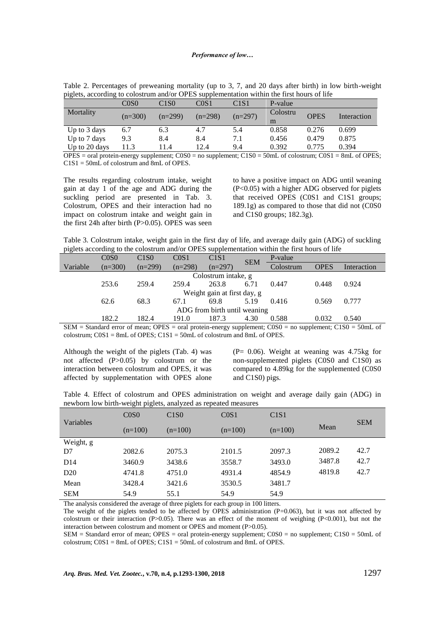|               | C0S0      | C1S0      | COS1      | CIS1      | P-value  |             |             |  |
|---------------|-----------|-----------|-----------|-----------|----------|-------------|-------------|--|
| Mortality     | $(n=300)$ | $(n=299)$ | $(n=298)$ | $(n=297)$ | Colostru | <b>OPES</b> | Interaction |  |
|               |           |           |           |           | m        |             |             |  |
| Up to 3 days  | 6.7       | 6.3       | 4.7       | 5.4       | 0.858    | 0.276       | 0.699       |  |
| Up to 7 days  | 9.3       | 8.4       | 8.4       | 7.1       | 0.456    | 0.479       | 0.875       |  |
| Up to 20 days | 11.3      | 11.4      | 12.4      | 9.4       | 0.392    | 0.775       | 0.394       |  |

Table 2. Percentages of preweaning mortality (up to 3, 7, and 20 days after birth) in low birth-weight piglets, according to colostrum and/or OPES supplementation within the first hours of life

OPES = oral protein-energy supplement; C0S0 = no supplement; C1S0 = 50mL of colostrum; C0S1 = 8mL of OPES; C1S1 = 50mL of colostrum and 8mL of OPES.

The results regarding colostrum intake, weight gain at day 1 of the age and ADG during the suckling period are presented in Tab. 3. Colostrum, OPES and their interaction had no impact on colostrum intake and weight gain in the first 24h after birth (P>0.05). OPES was seen to have a positive impact on ADG until weaning (P<0.05) with a higher ADG observed for piglets that received OPES (C0S1 and C1S1 groups; 189.1g) as compared to those that did not (C0S0 and C1S0 groups; 182.3g).

Table 3. Colostrum intake, weight gain in the first day of life, and average daily gain (ADG) of suckling piglets according to the colostrum and/or OPES supplementation within the first hours of life

|                                | C0S0         | C <sub>1</sub> S <sub>0</sub> | C0S1      | C1S1                         | <b>SEM</b> | P-value   |             |                                |  |
|--------------------------------|--------------|-------------------------------|-----------|------------------------------|------------|-----------|-------------|--------------------------------|--|
| Variable                       | $(n=300)$    | $(n=299)$                     | $(n=298)$ | $(n=297)$                    |            | Colostrum | <b>OPES</b> | Interaction                    |  |
|                                |              |                               |           | Colostrum intake, g          |            |           |             |                                |  |
|                                | 253.6        | 259.4                         | 259.4     | 263.8                        | 6.71       | 0.447     | 0.448       | 0.924                          |  |
| Weight gain at first day, g    |              |                               |           |                              |            |           |             |                                |  |
|                                | 62.6         | 68.3                          | 67.1      | 69.8                         | 5.19       | 0.416     | 0.569       | 0.777                          |  |
|                                |              |                               |           | ADG from birth until weaning |            |           |             |                                |  |
|                                | 182.2        | 182.4                         | 191.0     | 187.3                        | 4.30       | 0.588     | 0.032       | 0.540                          |  |
| $\sim$ $\sim$ $\sim$<br>$\sim$ | $\mathbf{v}$ | $\sim$<br>$\alpha$            |           |                              |            | $\sim$    |             | $\sim$ $\sim$ $\sim$<br>$\sim$ |  |

SEM = Standard error of mean; OPES = oral protein-energy supplement; C0S0 = no supplement; C1S0 = 50mL of colostrum; C0S1 = 8mL of OPES; C1S1 = 50mL of colostrum and 8mL of OPES.

Although the weight of the piglets (Tab. 4) was not affected (P>0.05) by colostrum or the interaction between colostrum and OPES, it was affected by supplementation with OPES alone  $(P= 0.06)$ . Weight at weaning was 4.75 kg for non-supplemented piglets (C0S0 and C1S0) as compared to 4.89kg for the supplemented (C0S0 and C1S0) pigs.

Table 4. Effect of colostrum and OPES administration on weight and average daily gain (ADG) in newborn low birth-weight piglets, analyzed as repeated measures

| Variables       | COS0      | C <sub>1</sub> S <sub>0</sub> | C <sub>0</sub> S <sub>1</sub> | C <sub>1</sub> S <sub>1</sub> |        |            |  |
|-----------------|-----------|-------------------------------|-------------------------------|-------------------------------|--------|------------|--|
|                 | $(n=100)$ | $(n=100)$                     | $(n=100)$                     | $(n=100)$                     | Mean   | <b>SEM</b> |  |
| Weight, g       |           |                               |                               |                               |        |            |  |
| D7              | 2082.6    | 2075.3                        | 2101.5                        | 2097.3                        | 2089.2 | 42.7       |  |
| D <sub>14</sub> | 3460.9    | 3438.6                        | 3558.7                        | 3493.0                        | 3487.8 | 42.7       |  |
| D20             | 4741.8    | 4751.0                        | 4931.4                        | 4854.9                        | 4819.8 | 42.7       |  |
| Mean            | 3428.4    | 3421.6                        | 3530.5                        | 3481.7                        |        |            |  |
| <b>SEM</b>      | 54.9      | 55.1                          | 54.9                          | 54.9                          |        |            |  |

The analysis considered the average of three piglets for each group in 100 litters.

The weight of the piglets tended to be affected by OPES administration  $(P=0.063)$ , but it was not affected by colostrum or their interaction (P>0.05). There was an effect of the moment of weighing (P<0.001), but not the interaction between colostrum and moment or OPES and moment (P>0.05).

SEM = Standard error of mean; OPES = oral protein-energy supplement; C0S0 = no supplement; C1S0 = 50mL of colostrum; C0S1 = 8mL of OPES; C1S1 = 50mL of colostrum and 8mL of OPES.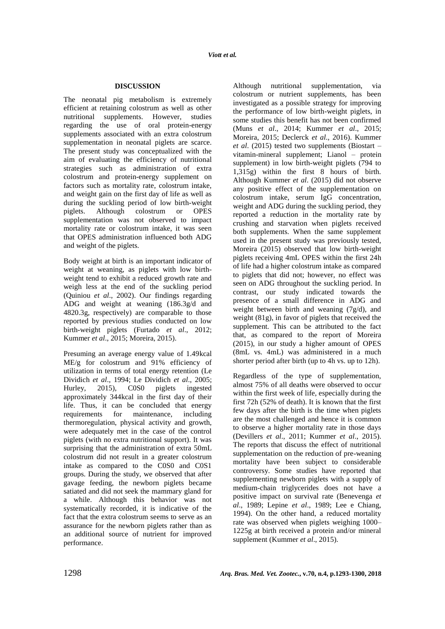# **DISCUSSION**

The neonatal pig metabolism is extremely efficient at retaining colostrum as well as other nutritional supplements. However, studies regarding the use of oral protein-energy supplements associated with an extra colostrum supplementation in neonatal piglets are scarce. The present study was conceptualized with the aim of evaluating the efficiency of nutritional strategies such as administration of extra colostrum and protein-energy supplement on factors such as mortality rate, colostrum intake, and weight gain on the first day of life as well as during the suckling period of low birth-weight piglets. Although colostrum or OPES supplementation was not observed to impact mortality rate or colostrum intake, it was seen that OPES administration influenced both ADG and weight of the piglets.

Body weight at birth is an important indicator of weight at weaning, as piglets with low birthweight tend to exhibit a reduced growth rate and weigh less at the end of the suckling period (Quiniou *et al*., 2002). Our findings regarding ADG and weight at weaning (186.3g/d and 4820.3g, respectively) are comparable to those reported by previous studies conducted on low birth-weight piglets (Furtado *et al*., 2012; Kummer *et al*., 2015; Moreira, 2015).

Presuming an average energy value of 1.49kcal ME/g for colostrum and 91% efficiency of utilization in terms of total energy retention (Le Dividich *et al*., 1994; Le Dividich *et al*., 2005; Hurley, 2015), C0S0 piglets ingested approximately 344kcal in the first day of their life. Thus, it can be concluded that energy requirements for maintenance, including thermoregulation, physical activity and growth, were adequately met in the case of the control piglets (with no extra nutritional support). It was surprising that the administration of extra 50mL colostrum did not result in a greater colostrum intake as compared to the C0S0 and C0S1 groups. During the study, we observed that after gavage feeding, the newborn piglets became satiated and did not seek the mammary gland for a while. Although this behavior was not systematically recorded, it is indicative of the fact that the extra colostrum seems to serve as an assurance for the newborn piglets rather than as an additional source of nutrient for improved performance.

Although nutritional supplementation, via colostrum or nutrient supplements, has been investigated as a possible strategy for improving the performance of low birth-weight piglets, in some studies this benefit has not been confirmed (Muns *et al*., 2014; Kummer *et al*., 2015; Moreira, 2015; Declerck *et al*., 2016). Kummer *et al*. (2015) tested two supplements (Biostart – vitamin-mineral supplement; Lianol – protein supplement) in low birth-weight piglets (794 to 1,315g) within the first 8 hours of birth. Although Kummer *et al*. (2015) did not observe any positive effect of the supplementation on colostrum intake, serum IgG concentration, weight and ADG during the suckling period, they reported a reduction in the mortality rate by crushing and starvation when piglets received both supplements. When the same supplement used in the present study was previously tested, Moreira (2015) observed that low birth-weight piglets receiving 4mL OPES within the first 24h of life had a higher colostrum intake as compared to piglets that did not; however, no effect was seen on ADG throughout the suckling period. In contrast, our study indicated towards the presence of a small difference in ADG and weight between birth and weaning  $(7g/d)$ , and weight (81g), in favor of piglets that received the supplement. This can be attributed to the fact that, as compared to the report of Moreira (2015), in our study a higher amount of OPES (8mL vs. 4mL) was administered in a much shorter period after birth (up to 4h vs. up to 12h).

Regardless of the type of supplementation, almost 75% of all deaths were observed to occur within the first week of life, especially during the first 72h (52% of death). It is known that the first few days after the birth is the time when piglets are the most challenged and hence it is common to observe a higher mortality rate in those days (Devillers *et al*., 2011; Kummer *et al*., 2015). The reports that discuss the effect of nutritional supplementation on the reduction of pre-weaning mortality have been subject to considerable controversy. Some studies have reported that supplementing newborn piglets with a supply of medium-chain triglycerides does not have a positive impact on survival rate (Benevenga *et al*., 1989; Lepine *et al*., 1989; Lee e Chiang, 1994). On the other hand, a reduced mortality rate was observed when piglets weighing 1000– 1225g at birth received a protein and/or mineral supplement (Kummer *et al*., 2015).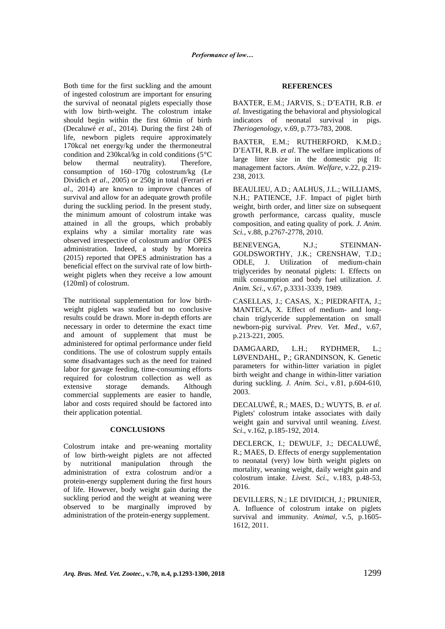Both time for the first suckling and the amount of ingested colostrum are important for ensuring the survival of neonatal piglets especially those with low birth-weight. The colostrum intake should begin within the first 60min of birth (Decaluwé *et al*., 2014). During the first 24h of life, newborn piglets require approximately 170kcal net energy/kg under the thermoneutral condition and 230kcal/kg in cold conditions (5°C below thermal neutrality). Therefore, consumption of 160–170g colostrum/kg (Le Dividich *et al*., 2005) or 250g in total (Ferrari *et al*., 2014) are known to improve chances of survival and allow for an adequate growth profile during the suckling period. In the present study, the minimum amount of colostrum intake was attained in all the groups, which probably explains why a similar mortality rate was observed irrespective of colostrum and/or OPES administration. Indeed, a study by Moreira (2015) reported that OPES administration has a beneficial effect on the survival rate of low birthweight piglets when they receive a low amount (120ml) of colostrum.

The nutritional supplementation for low birthweight piglets was studied but no conclusive results could be drawn. More in-depth efforts are necessary in order to determine the exact time and amount of supplement that must be administered for optimal performance under field conditions. The use of colostrum supply entails some disadvantages such as the need for trained labor for gavage feeding, time-consuming efforts required for colostrum collection as well as extensive storage demands. Although commercial supplements are easier to handle, labor and costs required should be factored into their application potential.

## **CONCLUSIONS**

Colostrum intake and pre-weaning mortality of low birth-weight piglets are not affected by nutritional manipulation through the administration of extra colostrum and/or a protein-energy supplement during the first hours of life. However, body weight gain during the suckling period and the weight at weaning were observed to be marginally improved by administration of the protein-energy supplement.

#### **REFERENCES**

BAXTER, E.M.; JARVIS, S.; D'EATH, R.B. *et al*. Investigating the behavioral and physiological indicators of neonatal survival in pigs. *Theriogenology*, v.69, p.773-783, 2008.

BAXTER, E.M.; RUTHERFORD, K.M.D.; D'EATH, R.B. *et al*. The welfare implications of large litter size in the domestic pig II: management factors. *Anim. Welfare*, v.22, p.219- 238, 2013.

BEAULIEU, A.D.; AALHUS, J.L.; WILLIAMS, N.H.; PATIENCE, J.F. Impact of piglet birth weight, birth order, and litter size on subsequent growth performance, carcass quality, muscle composition, and eating quality of pork. *J. Anim. Sci.*, v.88, p.2767-2778, 2010.

BENEVENGA, N.J.; STEINMAN-GOLDSWORTHY, J.K.; CRENSHAW, T.D.; ODLE, J. Utilization of medium-chain triglycerides by neonatal piglets: I. Effects on milk consumption and body fuel utilization. *J. Anim. Sci*., v.67, p.3331-3339, 1989.

CASELLAS, J.; CASAS, X.; PIEDRAFITA, J.; MANTECA, X. Effect of medium- and longchain triglyceride supplementation on small newborn-pig survival. *Prev. Vet. Med*., v.67, p.213-221, 2005.

DAMGAARD, L.H.; RYDHMER, L.; LØVENDAHL, P.; GRANDINSON, K. Genetic parameters for within-litter variation in piglet birth weight and change in within-litter variation during suckling. *J. Anim. Sci*., v.81, p.604-610, 2003.

DECALUWÉ, R.; MAES, D.; WUYTS, B. *et al*. Piglets' colostrum intake associates with daily weight gain and survival until weaning. *Livest. Sci*., v.162, p.185-192, 2014.

DECLERCK, I.; DEWULF, J.; DECALUWÉ, R.; MAES, D. Effects of energy supplementation to neonatal (very) low birth weight piglets on mortality, weaning weight, daily weight gain and colostrum intake. *Livest. Sci*., v.183, p.48-53, 2016.

DEVILLERS, N.; LE DIVIDICH, J.; PRUNIER, A. Influence of colostrum intake on piglets survival and immunity. *Animal*, v.5, p.1605- 1612, 2011.